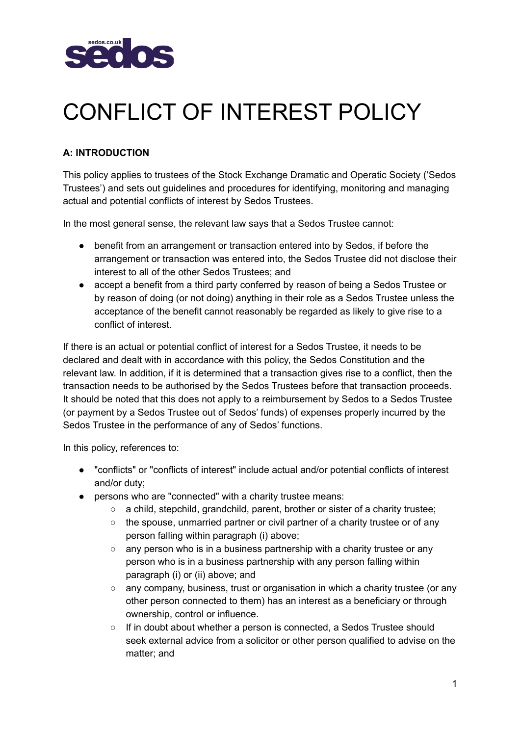

# CONFLICT OF INTEREST POLICY

# **A: INTRODUCTION**

This policy applies to trustees of the Stock Exchange Dramatic and Operatic Society ('Sedos Trustees') and sets out guidelines and procedures for identifying, monitoring and managing actual and potential conflicts of interest by Sedos Trustees.

In the most general sense, the relevant law says that a Sedos Trustee cannot:

- benefit from an arrangement or transaction entered into by Sedos, if before the arrangement or transaction was entered into, the Sedos Trustee did not disclose their interest to all of the other Sedos Trustees; and
- accept a benefit from a third party conferred by reason of being a Sedos Trustee or by reason of doing (or not doing) anything in their role as a Sedos Trustee unless the acceptance of the benefit cannot reasonably be regarded as likely to give rise to a conflict of interest.

If there is an actual or potential conflict of interest for a Sedos Trustee, it needs to be declared and dealt with in accordance with this policy, the Sedos Constitution and the relevant law. In addition, if it is determined that a transaction gives rise to a conflict, then the transaction needs to be authorised by the Sedos Trustees before that transaction proceeds. It should be noted that this does not apply to a reimbursement by Sedos to a Sedos Trustee (or payment by a Sedos Trustee out of Sedos' funds) of expenses properly incurred by the Sedos Trustee in the performance of any of Sedos' functions.

In this policy, references to:

- "conflicts" or "conflicts of interest" include actual and/or potential conflicts of interest and/or duty;
- persons who are "connected" with a charity trustee means:
	- a child, stepchild, grandchild, parent, brother or sister of a charity trustee;
	- $\circ$  the spouse, unmarried partner or civil partner of a charity trustee or of any person falling within paragraph (i) above;
	- any person who is in a business partnership with a charity trustee or any person who is in a business partnership with any person falling within paragraph (i) or (ii) above; and
	- any company, business, trust or organisation in which a charity trustee (or any other person connected to them) has an interest as a beneficiary or through ownership, control or influence.
	- If in doubt about whether a person is connected, a Sedos Trustee should seek external advice from a solicitor or other person qualified to advise on the matter; and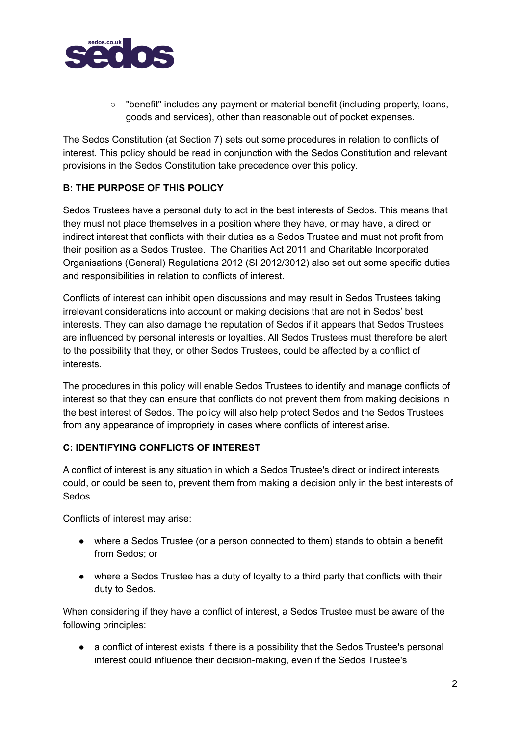

○ "benefit" includes any payment or material benefit (including property, loans, goods and services), other than reasonable out of pocket expenses.

The Sedos Constitution (at Section 7) sets out some procedures in relation to conflicts of interest. This policy should be read in conjunction with the Sedos Constitution and relevant provisions in the Sedos Constitution take precedence over this policy.

# **B: THE PURPOSE OF THIS POLICY**

Sedos Trustees have a personal duty to act in the best interests of Sedos. This means that they must not place themselves in a position where they have, or may have, a direct or indirect interest that conflicts with their duties as a Sedos Trustee and must not profit from their position as a Sedos Trustee. The Charities Act 2011 and Charitable Incorporated Organisations (General) Regulations 2012 (SI 2012/3012) also set out some specific duties and responsibilities in relation to conflicts of interest.

Conflicts of interest can inhibit open discussions and may result in Sedos Trustees taking irrelevant considerations into account or making decisions that are not in Sedos' best interests. They can also damage the reputation of Sedos if it appears that Sedos Trustees are influenced by personal interests or loyalties. All Sedos Trustees must therefore be alert to the possibility that they, or other Sedos Trustees, could be affected by a conflict of interests.

The procedures in this policy will enable Sedos Trustees to identify and manage conflicts of interest so that they can ensure that conflicts do not prevent them from making decisions in the best interest of Sedos. The policy will also help protect Sedos and the Sedos Trustees from any appearance of impropriety in cases where conflicts of interest arise.

# **C: IDENTIFYING CONFLICTS OF INTEREST**

A conflict of interest is any situation in which a Sedos Trustee's direct or indirect interests could, or could be seen to, prevent them from making a decision only in the best interests of Sedos.

Conflicts of interest may arise:

- where a Sedos Trustee (or a person connected to them) stands to obtain a benefit from Sedos; or
- where a Sedos Trustee has a duty of loyalty to a third party that conflicts with their duty to Sedos.

When considering if they have a conflict of interest, a Sedos Trustee must be aware of the following principles:

● a conflict of interest exists if there is a possibility that the Sedos Trustee's personal interest could influence their decision-making, even if the Sedos Trustee's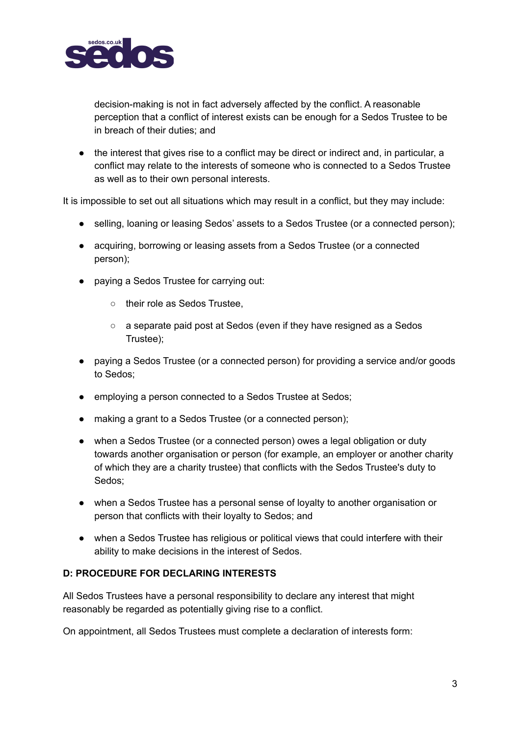

decision-making is not in fact adversely affected by the conflict. A reasonable perception that a conflict of interest exists can be enough for a Sedos Trustee to be in breach of their duties; and

● the interest that gives rise to a conflict may be direct or indirect and, in particular, a conflict may relate to the interests of someone who is connected to a Sedos Trustee as well as to their own personal interests.

It is impossible to set out all situations which may result in a conflict, but they may include:

- selling, loaning or leasing Sedos' assets to a Sedos Trustee (or a connected person);
- acquiring, borrowing or leasing assets from a Sedos Trustee (or a connected person);
- paying a Sedos Trustee for carrying out:
	- o their role as Sedos Trustee,
	- a separate paid post at Sedos (even if they have resigned as a Sedos Trustee);
- paying a Sedos Trustee (or a connected person) for providing a service and/or goods to Sedos;
- employing a person connected to a Sedos Trustee at Sedos;
- making a grant to a Sedos Trustee (or a connected person);
- when a Sedos Trustee (or a connected person) owes a legal obligation or duty towards another organisation or person (for example, an employer or another charity of which they are a charity trustee) that conflicts with the Sedos Trustee's duty to Sedos;
- when a Sedos Trustee has a personal sense of loyalty to another organisation or person that conflicts with their loyalty to Sedos; and
- when a Sedos Trustee has religious or political views that could interfere with their ability to make decisions in the interest of Sedos.

# **D: PROCEDURE FOR DECLARING INTERESTS**

All Sedos Trustees have a personal responsibility to declare any interest that might reasonably be regarded as potentially giving rise to a conflict.

On appointment, all Sedos Trustees must complete a declaration of interests form: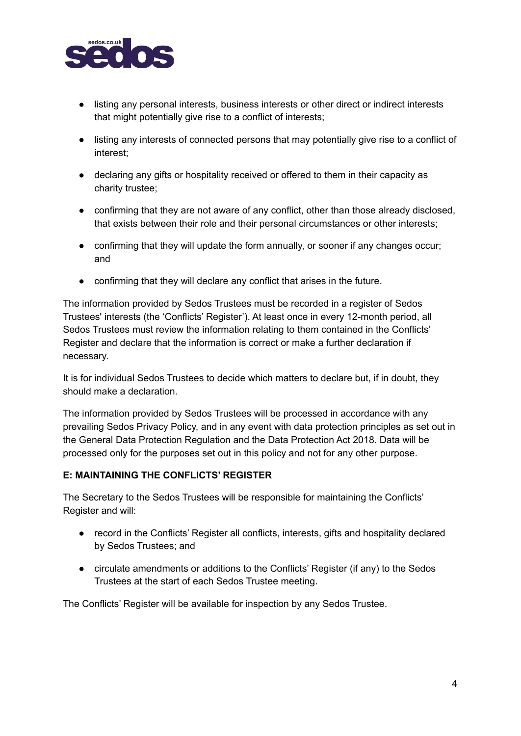

- listing any personal interests, business interests or other direct or indirect interests that might potentially give rise to a conflict of interests;
- listing any interests of connected persons that may potentially give rise to a conflict of interest;
- declaring any gifts or hospitality received or offered to them in their capacity as charity trustee;
- confirming that they are not aware of any conflict, other than those already disclosed, that exists between their role and their personal circumstances or other interests;
- confirming that they will update the form annually, or sooner if any changes occur; and
- confirming that they will declare any conflict that arises in the future.

The information provided by Sedos Trustees must be recorded in a register of Sedos Trustees' interests (the 'Conflicts' Register'). At least once in every 12-month period, all Sedos Trustees must review the information relating to them contained in the Conflicts' Register and declare that the information is correct or make a further declaration if necessary.

It is for individual Sedos Trustees to decide which matters to declare but, if in doubt, they should make a declaration.

The information provided by Sedos Trustees will be processed in accordance with any prevailing Sedos Privacy Policy, and in any event with data protection principles as set out in the General Data Protection Regulation and the Data Protection Act 2018. Data will be processed only for the purposes set out in this policy and not for any other purpose.

#### **E: MAINTAINING THE CONFLICTS' REGISTER**

The Secretary to the Sedos Trustees will be responsible for maintaining the Conflicts' Register and will:

- record in the Conflicts' Register all conflicts, interests, gifts and hospitality declared by Sedos Trustees; and
- circulate amendments or additions to the Conflicts' Register (if any) to the Sedos Trustees at the start of each Sedos Trustee meeting.

The Conflicts' Register will be available for inspection by any Sedos Trustee.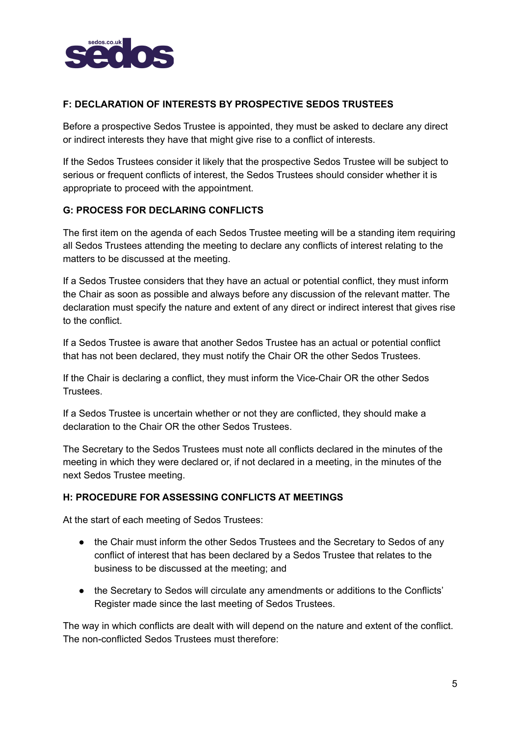

# **F: DECLARATION OF INTERESTS BY PROSPECTIVE SEDOS TRUSTEES**

Before a prospective Sedos Trustee is appointed, they must be asked to declare any direct or indirect interests they have that might give rise to a conflict of interests.

If the Sedos Trustees consider it likely that the prospective Sedos Trustee will be subject to serious or frequent conflicts of interest, the Sedos Trustees should consider whether it is appropriate to proceed with the appointment.

# **G: PROCESS FOR DECLARING CONFLICTS**

The first item on the agenda of each Sedos Trustee meeting will be a standing item requiring all Sedos Trustees attending the meeting to declare any conflicts of interest relating to the matters to be discussed at the meeting.

If a Sedos Trustee considers that they have an actual or potential conflict, they must inform the Chair as soon as possible and always before any discussion of the relevant matter. The declaration must specify the nature and extent of any direct or indirect interest that gives rise to the conflict.

If a Sedos Trustee is aware that another Sedos Trustee has an actual or potential conflict that has not been declared, they must notify the Chair OR the other Sedos Trustees.

If the Chair is declaring a conflict, they must inform the Vice-Chair OR the other Sedos **Trustees** 

If a Sedos Trustee is uncertain whether or not they are conflicted, they should make a declaration to the Chair OR the other Sedos Trustees.

The Secretary to the Sedos Trustees must note all conflicts declared in the minutes of the meeting in which they were declared or, if not declared in a meeting, in the minutes of the next Sedos Trustee meeting.

# **H: PROCEDURE FOR ASSESSING CONFLICTS AT MEETINGS**

At the start of each meeting of Sedos Trustees:

- the Chair must inform the other Sedos Trustees and the Secretary to Sedos of any conflict of interest that has been declared by a Sedos Trustee that relates to the business to be discussed at the meeting; and
- the Secretary to Sedos will circulate any amendments or additions to the Conflicts' Register made since the last meeting of Sedos Trustees.

The way in which conflicts are dealt with will depend on the nature and extent of the conflict. The non-conflicted Sedos Trustees must therefore: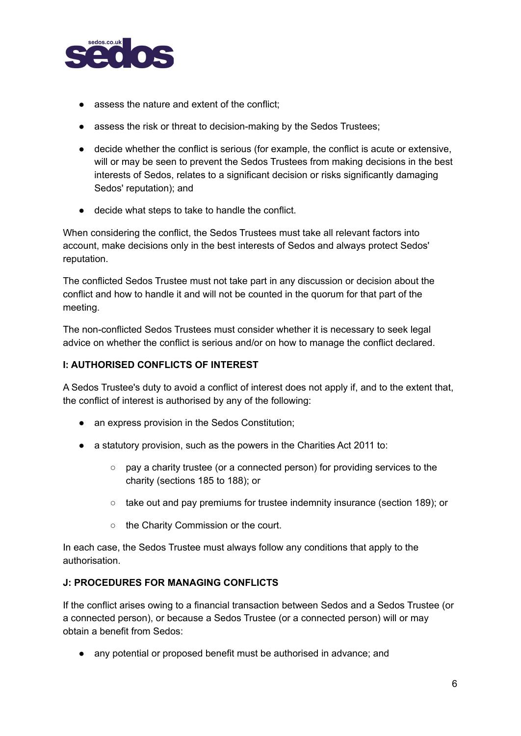

- assess the nature and extent of the conflict;
- assess the risk or threat to decision-making by the Sedos Trustees;
- decide whether the conflict is serious (for example, the conflict is acute or extensive, will or may be seen to prevent the Sedos Trustees from making decisions in the best interests of Sedos, relates to a significant decision or risks significantly damaging Sedos' reputation); and
- decide what steps to take to handle the conflict.

When considering the conflict, the Sedos Trustees must take all relevant factors into account, make decisions only in the best interests of Sedos and always protect Sedos' reputation.

The conflicted Sedos Trustee must not take part in any discussion or decision about the conflict and how to handle it and will not be counted in the quorum for that part of the meeting.

The non-conflicted Sedos Trustees must consider whether it is necessary to seek legal advice on whether the conflict is serious and/or on how to manage the conflict declared.

## **I: AUTHORISED CONFLICTS OF INTEREST**

A Sedos Trustee's duty to avoid a conflict of interest does not apply if, and to the extent that, the conflict of interest is authorised by any of the following:

- an express provision in the Sedos Constitution;
- a statutory provision, such as the powers in the Charities Act 2011 to:
	- pay a charity trustee (or a connected person) for providing services to the charity (sections 185 to 188); or
	- take out and pay premiums for trustee indemnity insurance (section 189); or
	- the Charity Commission or the court.

In each case, the Sedos Trustee must always follow any conditions that apply to the authorisation.

### **J: PROCEDURES FOR MANAGING CONFLICTS**

If the conflict arises owing to a financial transaction between Sedos and a Sedos Trustee (or a connected person), or because a Sedos Trustee (or a connected person) will or may obtain a benefit from Sedos:

• any potential or proposed benefit must be authorised in advance; and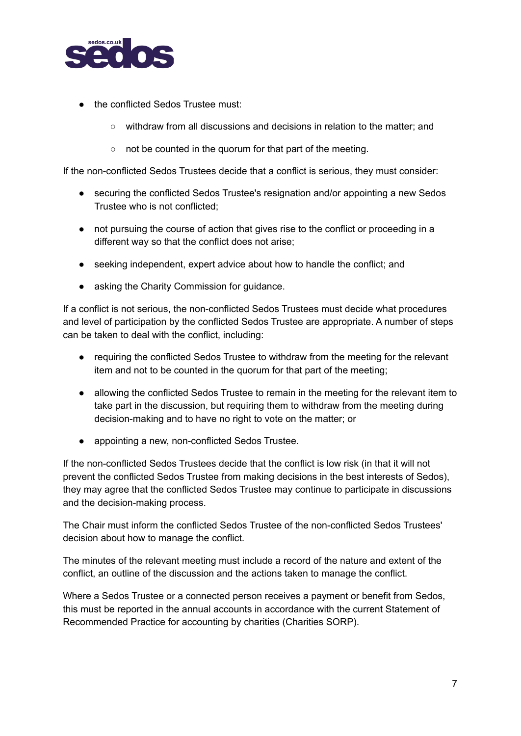

- the conflicted Sedos Trustee must
	- withdraw from all discussions and decisions in relation to the matter; and
	- not be counted in the quorum for that part of the meeting.

If the non-conflicted Sedos Trustees decide that a conflict is serious, they must consider:

- securing the conflicted Sedos Trustee's resignation and/or appointing a new Sedos Trustee who is not conflicted;
- not pursuing the course of action that gives rise to the conflict or proceeding in a different way so that the conflict does not arise;
- seeking independent, expert advice about how to handle the conflict; and
- asking the Charity Commission for guidance.

If a conflict is not serious, the non-conflicted Sedos Trustees must decide what procedures and level of participation by the conflicted Sedos Trustee are appropriate. A number of steps can be taken to deal with the conflict, including:

- requiring the conflicted Sedos Trustee to withdraw from the meeting for the relevant item and not to be counted in the quorum for that part of the meeting;
- allowing the conflicted Sedos Trustee to remain in the meeting for the relevant item to take part in the discussion, but requiring them to withdraw from the meeting during decision-making and to have no right to vote on the matter; or
- appointing a new, non-conflicted Sedos Trustee.

If the non-conflicted Sedos Trustees decide that the conflict is low risk (in that it will not prevent the conflicted Sedos Trustee from making decisions in the best interests of Sedos), they may agree that the conflicted Sedos Trustee may continue to participate in discussions and the decision-making process.

The Chair must inform the conflicted Sedos Trustee of the non-conflicted Sedos Trustees' decision about how to manage the conflict.

The minutes of the relevant meeting must include a record of the nature and extent of the conflict, an outline of the discussion and the actions taken to manage the conflict.

Where a Sedos Trustee or a connected person receives a payment or benefit from Sedos, this must be reported in the annual accounts in accordance with the current Statement of Recommended Practice for accounting by charities (Charities SORP).